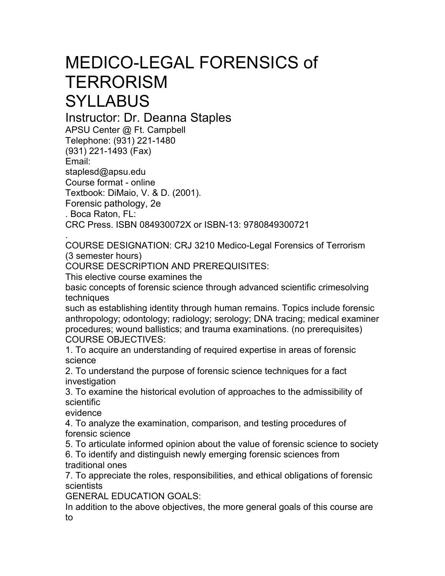## MEDICO-LEGAL FORENSICS of **TERRORISM SYLLABUS**

Instructor: Dr. Deanna Staples

APSU Center @ Ft. Campbell Telephone: (931) 221-1480 (931) 221-1493 (Fax) Email: staplesd@apsu.edu Course format - online Textbook: DiMaio, V. & D. (2001). Forensic pathology, 2e . Boca Raton, FL: CRC Press. ISBN 084930072X or ISBN-13: 9780849300721

. COURSE DESIGNATION: CRJ 3210 Medico-Legal Forensics of Terrorism (3 semester hours)

COURSE DESCRIPTION AND PREREQUISITES:

This elective course examines the

basic concepts of forensic science through advanced scientific crimesolving techniques

such as establishing identity through human remains. Topics include forensic anthropology; odontology; radiology; serology; DNA tracing; medical examiner procedures; wound ballistics; and trauma examinations. (no prerequisites) COURSE OBJECTIVES:

1. To acquire an understanding of required expertise in areas of forensic science

2. To understand the purpose of forensic science techniques for a fact investigation

3. To examine the historical evolution of approaches to the admissibility of scientific

evidence

4. To analyze the examination, comparison, and testing procedures of forensic science

5. To articulate informed opinion about the value of forensic science to society 6. To identify and distinguish newly emerging forensic sciences from traditional ones

7. To appreciate the roles, responsibilities, and ethical obligations of forensic scientists

GENERAL EDUCATION GOALS:

In addition to the above objectives, the more general goals of this course are to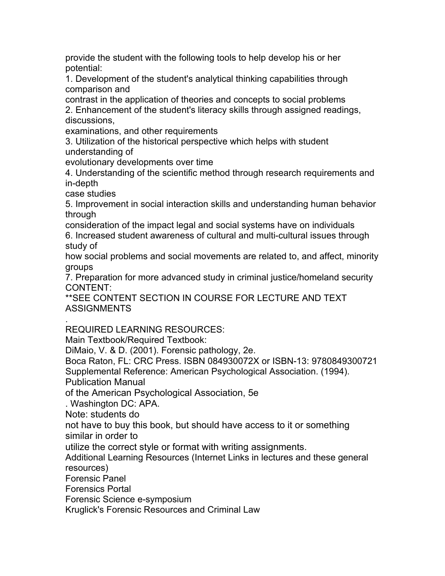provide the student with the following tools to help develop his or her potential:

1. Development of the student's analytical thinking capabilities through comparison and

contrast in the application of theories and concepts to social problems 2. Enhancement of the student's literacy skills through assigned readings, discussions,

examinations, and other requirements

3. Utilization of the historical perspective which helps with student understanding of

evolutionary developments over time

4. Understanding of the scientific method through research requirements and in-depth

case studies

5. Improvement in social interaction skills and understanding human behavior through

consideration of the impact legal and social systems have on individuals 6. Increased student awareness of cultural and multi-cultural issues through study of

how social problems and social movements are related to, and affect, minority groups

7. Preparation for more advanced study in criminal justice/homeland security CONTENT:

\*\*SEE CONTENT SECTION IN COURSE FOR LECTURE AND TEXT ASSIGNMENTS

. REQUIRED LEARNING RESOURCES:

Main Textbook/Required Textbook:

DiMaio, V. & D. (2001). Forensic pathology, 2e.

Boca Raton, FL: CRC Press. ISBN 084930072X or ISBN-13: 9780849300721 Supplemental Reference: American Psychological Association. (1994).

Publication Manual

of the American Psychological Association, 5e

. Washington DC: APA.

Note: students do

not have to buy this book, but should have access to it or something similar in order to

utilize the correct style or format with writing assignments.

Additional Learning Resources (Internet Links in lectures and these general resources)

Forensic Panel

Forensics Portal

Forensic Science e-symposium

Kruglick's Forensic Resources and Criminal Law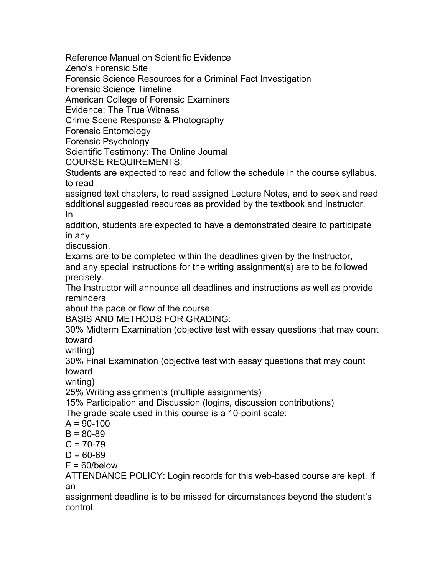Reference Manual on Scientific Evidence

Zeno's Forensic Site

Forensic Science Resources for a Criminal Fact Investigation

Forensic Science Timeline

American College of Forensic Examiners

Evidence: The True Witness

Crime Scene Response & Photography

Forensic Entomology

Forensic Psychology

Scientific Testimony: The Online Journal

COURSE REQUIREMENTS:

Students are expected to read and follow the schedule in the course syllabus, to read

assigned text chapters, to read assigned Lecture Notes, and to seek and read additional suggested resources as provided by the textbook and Instructor. In

addition, students are expected to have a demonstrated desire to participate in any

discussion.

Exams are to be completed within the deadlines given by the Instructor,

and any special instructions for the writing assignment(s) are to be followed precisely.

The Instructor will announce all deadlines and instructions as well as provide reminders

about the pace or flow of the course.

BASIS AND METHODS FOR GRADING:

30% Midterm Examination (objective test with essay questions that may count toward

writing)

30% Final Examination (objective test with essay questions that may count toward

writing)

25% Writing assignments (multiple assignments)

15% Participation and Discussion (logins, discussion contributions) The grade scale used in this course is a 10-point scale:

 $A = 90-100$ 

 $B = 80 - 89$ 

 $C - 70.79$ 

$$
C = 70-79
$$
  

$$
D = 60-69
$$

 $D = 60 - 69$  $F = 60$ /below

ATTENDANCE POLICY: Login records for this web-based course are kept. If an

assignment deadline is to be missed for circumstances beyond the student's control,